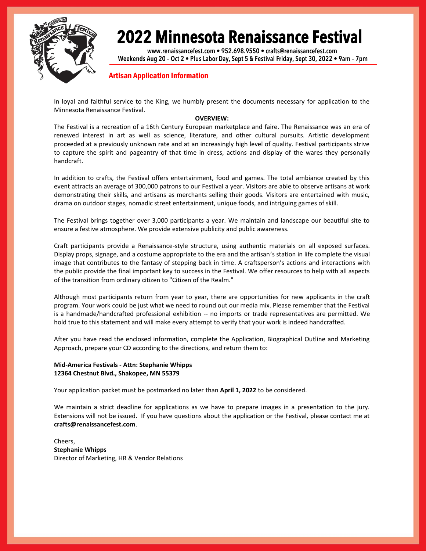

**www.renaissancefest.com • 952.698.9550 • crafts@renaissancefest.com Weekends Aug 20 – Oct 2 • Plus Labor Day, Sept 5 & Festival Friday, Sept 30, 2022 • 9am – 7pm**

#### Artisan Application Information

In loyal and faithful service to the King, we humbly present the documents necessary for application to the Minnesota Renaissance Festival.

#### **OVERVIEW:**

The Festival is a recreation of a 16th Century European marketplace and faire. The Renaissance was an era of renewed interest in art as well as science, literature, and other cultural pursuits. Artistic development proceeded at a previously unknown rate and at an increasingly high level of quality. Festival participants strive to capture the spirit and pageantry of that time in dress, actions and display of the wares they personally handcraft.

In addition to crafts, the Festival offers entertainment, food and games. The total ambiance created by this event attracts an average of 300,000 patrons to our Festival a year. Visitors are able to observe artisans at work demonstrating their skills, and artisans as merchants selling their goods. Visitors are entertained with music, drama on outdoor stages, nomadic street entertainment, unique foods, and intriguing games of skill.

The Festival brings together over 3,000 participants a year. We maintain and landscape our beautiful site to ensure a festive atmosphere. We provide extensive publicity and public awareness.

Craft participants provide a Renaissance-style structure, using authentic materials on all exposed surfaces. Display props, signage, and a costume appropriate to the era and the artisan's station in life complete the visual image that contributes to the fantasy of stepping back in time. A craftsperson's actions and interactions with the public provide the final important key to success in the Festival. We offer resources to help with all aspects of the transition from ordinary citizen to "Citizen of the Realm."

Although most participants return from year to year, there are opportunities for new applicants in the craft program. Your work could be just what we need to round out our media mix. Please remember that the Festival is a handmade/handcrafted professional exhibition -- no imports or trade representatives are permitted. We hold true to this statement and will make every attempt to verify that your work is indeed handcrafted.

After you have read the enclosed information, complete the Application, Biographical Outline and Marketing Approach, prepare your CD according to the directions, and return them to:

#### **Mid-America Festivals - Attn: Stephanie Whipps 12364 Chestnut Blvd., Shakopee, MN 55379**

#### Your application packet must be postmarked no later than **April 1, 2022** to be considered.

We maintain a strict deadline for applications as we have to prepare images in a presentation to the jury. Extensions will not be issued. If you have questions about the application or the Festival, please contact me at **crafts@renaissancefest.com**.

Cheers, **Stephanie Whipps**  Director of Marketing, HR & Vendor Relations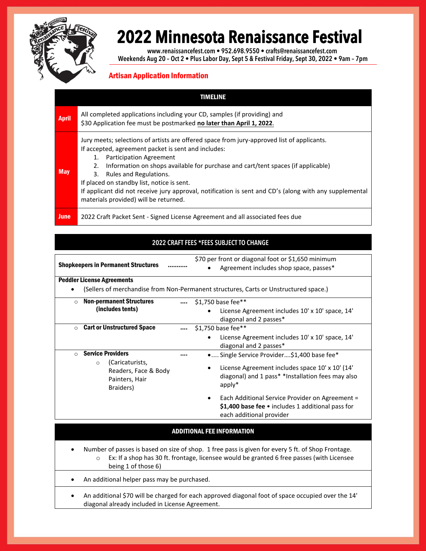

**www.renaissancefest.com • 952.698.9550 • crafts@renaissancefest.com Weekends Aug 20 – Oct 2 • Plus Labor Day, Sept 5 & Festival Friday, Sept 30, 2022 • 9am – 7pm**

### Artisan Application Information

|              | TIMELINE                                                                                                                                                                                                                                                                                                                                                                                                                                                                                                             |
|--------------|----------------------------------------------------------------------------------------------------------------------------------------------------------------------------------------------------------------------------------------------------------------------------------------------------------------------------------------------------------------------------------------------------------------------------------------------------------------------------------------------------------------------|
| <b>April</b> | All completed applications including your CD, samples (if providing) and<br>\$30 Application fee must be postmarked no later than April 1, 2022.                                                                                                                                                                                                                                                                                                                                                                     |
| <b>May</b>   | Jury meets; selections of artists are offered space from jury-approved list of applicants.<br>If accepted, agreement packet is sent and includes:<br><b>Participation Agreement</b><br>1.<br>Information on shops available for purchase and cart/tent spaces (if applicable)<br>2.<br>Rules and Regulations.<br>3.<br>If placed on standby list, notice is sent.<br>If applicant did not receive jury approval, notification is sent and CD's (along with any supplemental<br>materials provided) will be returned. |
| <b>June</b>  | 2022 Craft Packet Sent - Signed License Agreement and all associated fees due                                                                                                                                                                                                                                                                                                                                                                                                                                        |

### **2022 CRAFT FEES \*FEES SUBJECT TO CHANGE**

Shopkeepers in Permanent Structures ………..

\$70 per front or diagonal foot or \$1,650 minimum

Agreement includes shop space, passes\*

Peddler License Agreements

(Sellers of merchandise from Non-Permanent structures, Carts or Unstructured space.)

| <b>Non-permanent Structures</b><br>$\circ$ |                                                                                   | $\cdots$ | \$1,750 base fee**                                                                                                                            |
|--------------------------------------------|-----------------------------------------------------------------------------------|----------|-----------------------------------------------------------------------------------------------------------------------------------------------|
|                                            | (includes tents)                                                                  |          | License Agreement includes 10' x 10' space, 14'                                                                                               |
|                                            |                                                                                   |          | diagonal and 2 passes*                                                                                                                        |
| $\circ$                                    | <b>Cart or Unstructured Space</b>                                                 | $\cdots$ | \$1,750 base fee**                                                                                                                            |
|                                            |                                                                                   |          | License Agreement includes 10' x 10' space, 14'                                                                                               |
|                                            |                                                                                   |          | diagonal and 2 passes*                                                                                                                        |
| $\circ$                                    | <b>Service Providers</b>                                                          |          | •  Single Service Provider\$1,400 base fee*                                                                                                   |
|                                            | (Caricaturists,<br>$\circ$<br>Readers, Face & Body<br>Painters, Hair<br>Braiders) |          | License Agreement includes space 10' x 10' (14'<br>٠<br>diagonal) and 1 pass* *Installation fees may also<br>$apply*$                         |
|                                            |                                                                                   |          | Each Additional Service Provider on Agreement =<br>٠<br>\$1,400 base fee $\bullet$ includes 1 additional pass for<br>each additional provider |

#### ADDITIONAL FEE INFORMATION

- Number of passes is based on size of shop. 1 free pass is given for every 5 ft. of Shop Frontage. o Ex: If a shop has 30 ft. frontage, licensee would be granted 6 free passes (with Licensee being 1 of those 6)
- An additional helper pass may be purchased.
- An additional \$70 will be charged for each approved diagonal foot of space occupied over the 14' diagonal already included in License Agreement.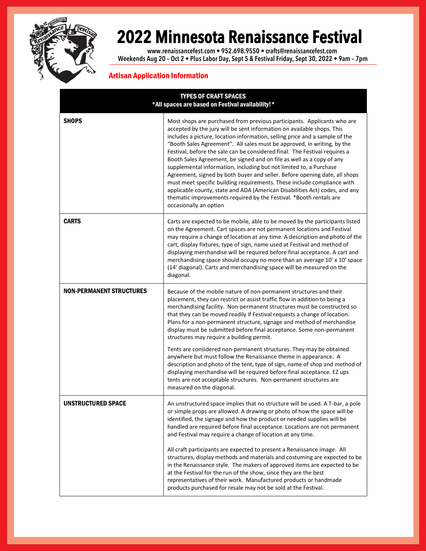

**www.renaissancefest.com • 952.698.9550 • crafts@renaissancefest.com Weekends Aug 20 – Oct 2 • Plus Labor Day, Sept 5 & Festival Friday, Sept 30, 2022 • 9am – 7pm**

### Artisan Application Information

| <b>TYPES OF CRAFT SPACES</b><br>*All spaces are based on Festival availability!* |                                                                                                                                                                                                                                                                                                                                                                                                                                                                                                                                                                                                                                                                                                                                                                                                                                                                                  |  |  |  |
|----------------------------------------------------------------------------------|----------------------------------------------------------------------------------------------------------------------------------------------------------------------------------------------------------------------------------------------------------------------------------------------------------------------------------------------------------------------------------------------------------------------------------------------------------------------------------------------------------------------------------------------------------------------------------------------------------------------------------------------------------------------------------------------------------------------------------------------------------------------------------------------------------------------------------------------------------------------------------|--|--|--|
| <b>SHOPS</b>                                                                     | Most shops are purchased from previous participants. Applicants who are<br>accepted by the jury will be sent information on available shops. This<br>includes a picture, location information, selling price and a sample of the<br>"Booth Sales Agreement". All sales must be approved, in writing, by the<br>Festival, before the sale can be considered final. The Festival requires a<br>Booth Sales Agreement, be signed and on file as well as a copy of any<br>supplemental information, including but not limited to, a Purchase<br>Agreement, signed by both buyer and seller. Before opening date, all shops<br>must meet specific building requirements. These include compliance with<br>applicable county, state and ADA (American Disabilities Act) codes, and any<br>thematic improvements required by the Festival. *Booth rentals are<br>occasionally an option |  |  |  |
| <b>CARTS</b>                                                                     | Carts are expected to be mobile, able to be moved by the participants listed<br>on the Agreement. Cart spaces are not permanent locations and Festival<br>may require a change of location at any time. A description and photo of the<br>cart, display fixtures, type of sign, name used at Festival and method of<br>displaying merchandise will be required before final acceptance. A cart and<br>merchandising space should occupy no more than an average 10' x 10' space<br>(14' diagonal). Carts and merchandising space will be measured on the<br>diagonal.                                                                                                                                                                                                                                                                                                            |  |  |  |
| <b>NON-PERMANENT STRUCTURES</b>                                                  | Because of the mobile nature of non-permanent structures and their<br>placement, they can restrict or assist traffic flow in addition to being a<br>merchandising facility. Non-permanent structures must be constructed so<br>that they can be moved readily if Festival requests a change of location.<br>Plans for a non-permanent structure, signage and method of merchandise<br>display must be submitted before final acceptance. Some non-permanent<br>structures may require a building permit.                                                                                                                                                                                                                                                                                                                                                                         |  |  |  |
|                                                                                  | Tents are considered non-permanent structures. They may be obtained<br>anywhere but must follow the Renaissance theme in appearance. A<br>description and photo of the tent, type of sign, name of shop and method of<br>displaying merchandise will be required before final acceptance. EZ ups<br>tents are not acceptable structures. Non-permanent structures are<br>measured on the diagonal.                                                                                                                                                                                                                                                                                                                                                                                                                                                                               |  |  |  |
| UNSTRUCTURED SPACE                                                               | An unstructured space implies that no structure will be used. A T-bar, a pole<br>or simple props are allowed. A drawing or photo of how the space will be<br>identified, the signage and how the product or needed supplies will be<br>handled are required before final acceptance. Locations are not permanent<br>and Festival may require a change of location at any time.                                                                                                                                                                                                                                                                                                                                                                                                                                                                                                   |  |  |  |
|                                                                                  | All craft participants are expected to present a Renaissance image. All<br>structures, display methods and materials and costuming are expected to be<br>in the Renaissance style. The makers of approved items are expected to be<br>at the Festival for the run of the show, since they are the best<br>representatives of their work. Manufactured products or handmade<br>products purchased for resale may not be sold at the Festival.                                                                                                                                                                                                                                                                                                                                                                                                                                     |  |  |  |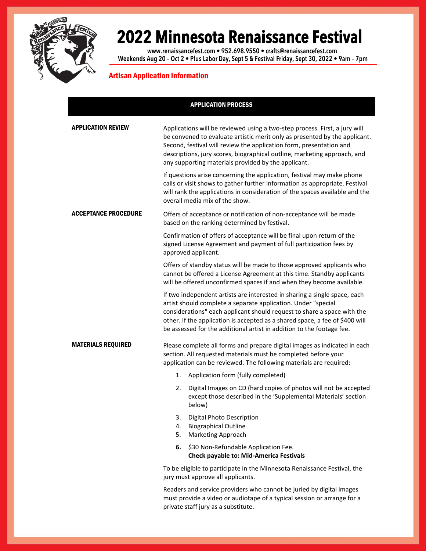

**www.renaissancefest.com • 952.698.9550 • crafts@renaissancefest.com Weekends Aug 20 – Oct 2 • Plus Labor Day, Sept 5 & Festival Friday, Sept 30, 2022 • 9am – 7pm**

### Artisan Application Information

|                      | <b>APPLICATION PROCESS</b>                                                                                                                                                                                                                                                                                                                                                     |  |  |
|----------------------|--------------------------------------------------------------------------------------------------------------------------------------------------------------------------------------------------------------------------------------------------------------------------------------------------------------------------------------------------------------------------------|--|--|
| APPLICATION REVIEW   | Applications will be reviewed using a two-step process. First, a jury will<br>be convened to evaluate artistic merit only as presented by the applicant.<br>Second, festival will review the application form, presentation and<br>descriptions, jury scores, biographical outline, marketing approach, and<br>any supporting materials provided by the applicant.             |  |  |
|                      | If questions arise concerning the application, festival may make phone<br>calls or visit shows to gather further information as appropriate. Festival<br>will rank the applications in consideration of the spaces available and the<br>overall media mix of the show.                                                                                                         |  |  |
| Acceptance procedure | Offers of acceptance or notification of non-acceptance will be made<br>based on the ranking determined by festival.                                                                                                                                                                                                                                                            |  |  |
|                      | Confirmation of offers of acceptance will be final upon return of the<br>signed License Agreement and payment of full participation fees by<br>approved applicant.                                                                                                                                                                                                             |  |  |
|                      | Offers of standby status will be made to those approved applicants who<br>cannot be offered a License Agreement at this time. Standby applicants<br>will be offered unconfirmed spaces if and when they become available.                                                                                                                                                      |  |  |
|                      | If two independent artists are interested in sharing a single space, each<br>artist should complete a separate application. Under "special<br>considerations" each applicant should request to share a space with the<br>other. If the application is accepted as a shared space, a fee of \$400 will<br>be assessed for the additional artist in addition to the footage fee. |  |  |
| MATERIALS REQUIRED   | Please complete all forms and prepare digital images as indicated in each<br>section. All requested materials must be completed before your<br>application can be reviewed. The following materials are required:                                                                                                                                                              |  |  |
|                      | 1.<br>Application form (fully completed)                                                                                                                                                                                                                                                                                                                                       |  |  |
|                      | Digital Images on CD (hard copies of photos will not be accepted<br>2.<br>except those described in the 'Supplemental Materials' section<br>below)                                                                                                                                                                                                                             |  |  |
|                      | 3.<br>Digital Photo Description<br>4.<br><b>Biographical Outline</b><br><b>Marketing Approach</b><br>5.                                                                                                                                                                                                                                                                        |  |  |
|                      | \$30 Non-Refundable Application Fee.<br>6.<br><b>Check payable to: Mid-America Festivals</b>                                                                                                                                                                                                                                                                                   |  |  |
|                      | To be eligible to participate in the Minnesota Renaissance Festival, the<br>jury must approve all applicants.                                                                                                                                                                                                                                                                  |  |  |
|                      | Readers and service providers who cannot be juried by digital images<br>must provide a video or audiotape of a typical session or arrange for a                                                                                                                                                                                                                                |  |  |

private staff jury as a substitute.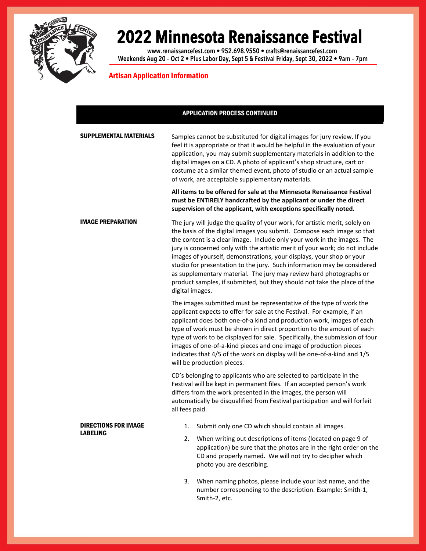

**www.renaissancefest.com • 952.698.9550 • crafts@renaissancefest.com Weekends Aug 20 – Oct 2 • Plus Labor Day, Sept 5 & Festival Friday, Sept 30, 2022 • 9am – 7pm**

### Artisan Application Information

#### APPLICATION PROCESS CONTINUED

| <b>SUPPLEMENTAL MATERIALS</b> | Samples cannot be substituted for digital images for jury review. If you<br>feel it is appropriate or that it would be helpful in the evaluation of your<br>application, you may submit supplementary materials in addition to the<br>digital images on a CD. A photo of applicant's shop structure, cart or<br>costume at a similar themed event, photo of studio or an actual sample<br>of work, are acceptable supplementary materials.                                                                                                                                                                                              |
|-------------------------------|-----------------------------------------------------------------------------------------------------------------------------------------------------------------------------------------------------------------------------------------------------------------------------------------------------------------------------------------------------------------------------------------------------------------------------------------------------------------------------------------------------------------------------------------------------------------------------------------------------------------------------------------|
|                               | All items to be offered for sale at the Minnesota Renaissance Festival<br>must be ENTIRELY handcrafted by the applicant or under the direct<br>supervision of the applicant, with exceptions specifically noted.                                                                                                                                                                                                                                                                                                                                                                                                                        |
| <b>IMAGE PREPARATION</b>      | The jury will judge the quality of your work, for artistic merit, solely on<br>the basis of the digital images you submit. Compose each image so that<br>the content is a clear image. Include only your work in the images. The<br>jury is concerned only with the artistic merit of your work; do not include<br>images of yourself, demonstrations, your displays, your shop or your<br>studio for presentation to the jury. Such information may be considered<br>as supplementary material. The jury may review hard photographs or<br>product samples, if submitted, but they should not take the place of the<br>digital images. |
|                               | The images submitted must be representative of the type of work the<br>applicant expects to offer for sale at the Festival. For example, if an<br>applicant does both one-of-a kind and production work, images of each<br>type of work must be shown in direct proportion to the amount of each<br>type of work to be displayed for sale. Specifically, the submission of four<br>images of one-of-a-kind pieces and one image of production pieces<br>indicates that 4/5 of the work on display will be one-of-a-kind and 1/5<br>will be production pieces.                                                                           |
|                               | CD's belonging to applicants who are selected to participate in the<br>Festival will be kept in permanent files. If an accepted person's work<br>differs from the work presented in the images, the person will<br>automatically be disqualified from Festival participation and will forfeit<br>all fees paid.                                                                                                                                                                                                                                                                                                                         |
| <b>DIRECTIONS FOR IMAGE</b>   | Submit only one CD which should contain all images.<br>1.                                                                                                                                                                                                                                                                                                                                                                                                                                                                                                                                                                               |
| <b>LABELING</b>               | When writing out descriptions of items (located on page 9 of<br>2.<br>application) be sure that the photos are in the right order on the<br>CD and properly named. We will not try to decipher which<br>photo you are describing.                                                                                                                                                                                                                                                                                                                                                                                                       |
|                               | When naming photos, please include your last name, and the<br>3.<br>number corresponding to the description. Example: Smith-1,<br>Smith-2, etc.                                                                                                                                                                                                                                                                                                                                                                                                                                                                                         |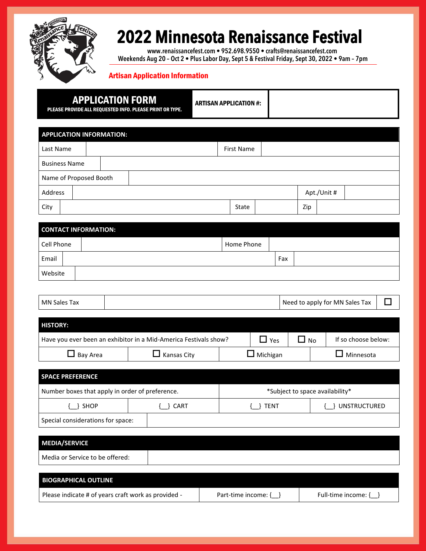

**www.renaissancefest.com • 952.698.9550 • crafts@renaissancefest.com Weekends Aug 20 – Oct 2 • Plus Labor Day, Sept 5 & Festival Friday, Sept 30, 2022 • 9am – 7pm**

### Artisan Application Information

|                                 | <b>APPLICATION FORM</b><br>PLEASE PROVIDE ALL REQUESTED INFO. PLEASE PRINT OR TYPE. | <b>ARTISAN APPLICATION #:</b> |                   |            |     |              |             |                                |        |
|---------------------------------|-------------------------------------------------------------------------------------|-------------------------------|-------------------|------------|-----|--------------|-------------|--------------------------------|--------|
| <b>APPLICATION INFORMATION:</b> |                                                                                     |                               |                   |            |     |              |             |                                |        |
| Last Name                       |                                                                                     |                               | <b>First Name</b> |            |     |              |             |                                |        |
| <b>Business Name</b>            |                                                                                     |                               |                   |            |     |              |             |                                |        |
| Name of Proposed Booth          |                                                                                     |                               |                   |            |     |              |             |                                |        |
| Address                         |                                                                                     |                               |                   |            |     |              | Apt./Unit # |                                |        |
| City                            |                                                                                     |                               | State             |            |     | Zip          |             |                                |        |
| <b>CONTACT INFORMATION:</b>     |                                                                                     |                               |                   |            |     |              |             |                                |        |
| <b>Cell Phone</b>               |                                                                                     |                               | Home Phone        |            |     |              |             |                                |        |
| Email                           |                                                                                     |                               |                   |            | Fax |              |             |                                |        |
| Website                         |                                                                                     |                               |                   |            |     |              |             |                                |        |
|                                 |                                                                                     |                               |                   |            |     |              |             |                                |        |
| <b>MN Sales Tax</b>             |                                                                                     |                               |                   |            |     |              |             | Need to apply for MN Sales Tax | $\Box$ |
| <b>HISTORY:</b>                 |                                                                                     |                               |                   |            |     |              |             |                                |        |
|                                 | Have you ever been an exhibitor in a Mid-America Festivals show?                    |                               |                   | $\Box$ Yes |     | $\square$ No |             | If so choose below:            |        |

| <b>SPACE PREFERENCE</b>                         |  |             |                                 |  |  |
|-------------------------------------------------|--|-------------|---------------------------------|--|--|
| Number boxes that apply in order of preference. |  |             | *Subject to space availability* |  |  |
| SHOP<br>} CART                                  |  | <b>TENT</b> | <b>UNSTRUCTURED</b>             |  |  |
| Special considerations for space:               |  |             |                                 |  |  |

 $\Box$  Bay Area  $\Box$  Kansas City  $\Box$  Michigan  $\Box$  Minnesota

| <b>MEDIA/SERVICE</b>                                |                          |                       |
|-----------------------------------------------------|--------------------------|-----------------------|
| Media or Service to be offered:                     |                          |                       |
|                                                     |                          |                       |
| <b>BIOGRAPHICAL OUTLINE</b>                         |                          |                       |
| Please indicate # of years craft work as provided - | Part-time income: $\{\}$ | Full-time income: { } |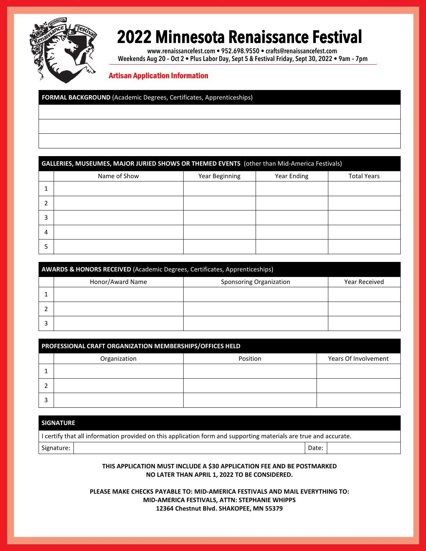

**www.renaissancefest.com • 952.698.9550 • crafts@renaissancefest.com Weekends Aug 20 – Oct 2 • Plus Labor Day, Sept 5 & Festival Friday, Sept 30, 2022 • 9am – 7pm**

### Artisan Application Information

**FORMAL BACKGROUND** (Academic Degrees, Certificates, Apprenticeships)

### **GALLERIES, MUSEUMES, MAJOR JURIED SHOWS OR THEMED EVENTS** (other than Mid-America Festivals)

|   | Name of Show | Year Beginning | Year Ending | <b>Total Years</b> |
|---|--------------|----------------|-------------|--------------------|
|   |              |                |             |                    |
|   |              |                |             |                    |
| 3 |              |                |             |                    |
| 4 |              |                |             |                    |
| 5 |              |                |             |                    |

| <b>AWARDS &amp; HONORS RECEIVED</b> (Academic Degrees, Certificates, Apprenticeships) |                         |                      |  |  |  |
|---------------------------------------------------------------------------------------|-------------------------|----------------------|--|--|--|
| Honor/Award Name                                                                      | Sponsoring Organization | <b>Year Received</b> |  |  |  |
|                                                                                       |                         |                      |  |  |  |
|                                                                                       |                         |                      |  |  |  |
|                                                                                       |                         |                      |  |  |  |

| PROFESSIONAL CRAFT ORGANIZATION MEMBERSHIPS/OFFICES HELD |          |                      |  |  |  |
|----------------------------------------------------------|----------|----------------------|--|--|--|
| Organization                                             | Position | Years Of Involvement |  |  |  |
|                                                          |          |                      |  |  |  |
|                                                          |          |                      |  |  |  |
|                                                          |          |                      |  |  |  |

#### **SIGNATURE**

| I certify that all information provided on this application form and supporting materials are true and accurate. |  |       |  |  |
|------------------------------------------------------------------------------------------------------------------|--|-------|--|--|
| Signature:                                                                                                       |  | Date: |  |  |

#### **THIS APPLICATION MUST INCLUDE A \$30 APPLICATION FEE AND BE POSTMARKED NO LATER THAN APRIL 1, 2022 TO BE CONSIDERED.**

**PLEASE MAKE CHECKS PAYABLE TO: MID-AMERICA FESTIVALS AND MAIL EVERYTHING TO: MID-AMERICA FESTIVALS, ATTN: STEPHANIE WHIPPS 12364 Chestnut Blvd. SHAKOPEE, MN 55379**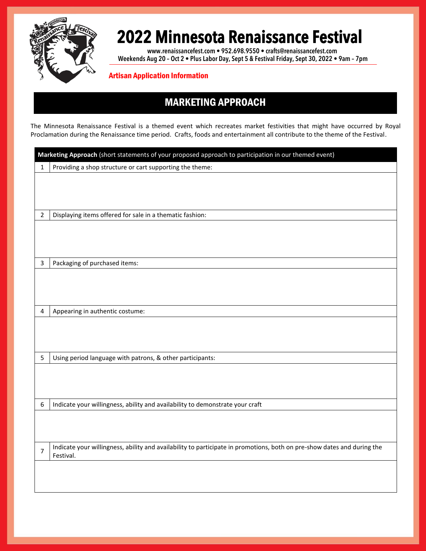

**www.renaissancefest.com • 952.698.9550 • crafts@renaissancefest.com Weekends Aug 20 – Oct 2 • Plus Labor Day, Sept 5 & Festival Friday, Sept 30, 2022 • 9am – 7pm**

Artisan Application Information

### MARKETING APPROACH

The Minnesota Renaissance Festival is a themed event which recreates market festivities that might have occurred by Royal Proclamation during the Renaissance time period. Crafts, foods and entertainment all contribute to the theme of the Festival.

| Marketing Approach (short statements of your proposed approach to participation in our themed event) |                                                                                                                         |  |  |
|------------------------------------------------------------------------------------------------------|-------------------------------------------------------------------------------------------------------------------------|--|--|
| 1                                                                                                    | Providing a shop structure or cart supporting the theme:                                                                |  |  |
|                                                                                                      |                                                                                                                         |  |  |
|                                                                                                      |                                                                                                                         |  |  |
|                                                                                                      |                                                                                                                         |  |  |
| 2                                                                                                    | Displaying items offered for sale in a thematic fashion:                                                                |  |  |
|                                                                                                      |                                                                                                                         |  |  |
|                                                                                                      |                                                                                                                         |  |  |
|                                                                                                      |                                                                                                                         |  |  |
| 3                                                                                                    | Packaging of purchased items:                                                                                           |  |  |
|                                                                                                      |                                                                                                                         |  |  |
|                                                                                                      |                                                                                                                         |  |  |
|                                                                                                      |                                                                                                                         |  |  |
| 4                                                                                                    | Appearing in authentic costume:                                                                                         |  |  |
|                                                                                                      |                                                                                                                         |  |  |
|                                                                                                      |                                                                                                                         |  |  |
|                                                                                                      |                                                                                                                         |  |  |
| 5                                                                                                    | Using period language with patrons, & other participants:                                                               |  |  |
|                                                                                                      |                                                                                                                         |  |  |
|                                                                                                      |                                                                                                                         |  |  |
|                                                                                                      |                                                                                                                         |  |  |
| 6                                                                                                    | Indicate your willingness, ability and availability to demonstrate your craft                                           |  |  |
|                                                                                                      |                                                                                                                         |  |  |
|                                                                                                      |                                                                                                                         |  |  |
|                                                                                                      | Indicate your willingness, ability and availability to participate in promotions, both on pre-show dates and during the |  |  |
| 7                                                                                                    | Festival.                                                                                                               |  |  |
|                                                                                                      |                                                                                                                         |  |  |
|                                                                                                      |                                                                                                                         |  |  |
|                                                                                                      |                                                                                                                         |  |  |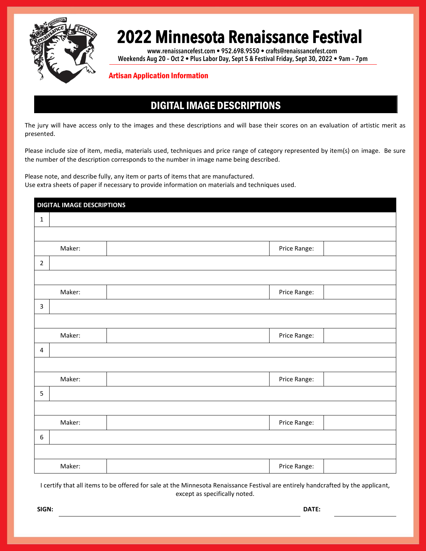

**www.renaissancefest.com • 952.698.9550 • crafts@renaissancefest.com Weekends Aug 20 – Oct 2 • Plus Labor Day, Sept 5 & Festival Friday, Sept 30, 2022 • 9am – 7pm**

#### Artisan Application Information

### DIGITAL IMAGE DESCRIPTIONS

The jury will have access only to the images and these descriptions and will base their scores on an evaluation of artistic merit as presented.

Please include size of item, media, materials used, techniques and price range of category represented by item(s) on image. Be sure the number of the description corresponds to the number in image name being described.

Please note, and describe fully, any item or parts of items that are manufactured. Use extra sheets of paper if necessary to provide information on materials and techniques used.

| <b>DIGITAL IMAGE DESCRIPTIONS</b> |        |              |  |  |
|-----------------------------------|--------|--------------|--|--|
| $\mathbf 1$                       |        |              |  |  |
|                                   |        |              |  |  |
|                                   | Maker: | Price Range: |  |  |
| $\overline{2}$                    |        |              |  |  |
|                                   |        |              |  |  |
|                                   | Maker: | Price Range: |  |  |
| 3                                 |        |              |  |  |
|                                   |        |              |  |  |
|                                   | Maker: | Price Range: |  |  |
| $\overline{4}$                    |        |              |  |  |
|                                   |        |              |  |  |
|                                   | Maker: | Price Range: |  |  |
| 5                                 |        |              |  |  |
|                                   |        |              |  |  |
|                                   | Maker: | Price Range: |  |  |
| $\boldsymbol{6}$                  |        |              |  |  |
|                                   |        |              |  |  |
|                                   | Maker: | Price Range: |  |  |

I certify that all items to be offered for sale at the Minnesota Renaissance Festival are entirely handcrafted by the applicant, except as specifically noted.